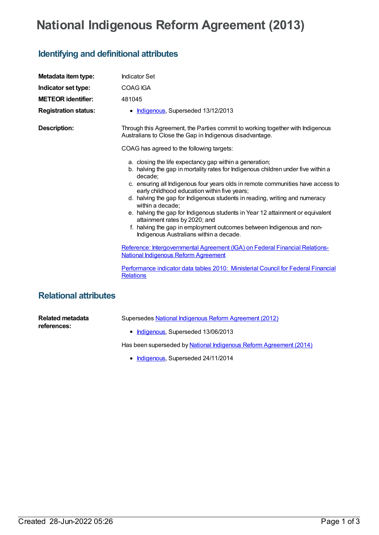## **National Indigenous Reform Agreement (2013)**

## **Identifying and definitional attributes**

| Metadata item type:          | <b>Indicator Set</b>                                                                                                                                                                                                                                                                                                                                                                                                                                                                                                                                                                                                                 |
|------------------------------|--------------------------------------------------------------------------------------------------------------------------------------------------------------------------------------------------------------------------------------------------------------------------------------------------------------------------------------------------------------------------------------------------------------------------------------------------------------------------------------------------------------------------------------------------------------------------------------------------------------------------------------|
| Indicator set type:          | <b>COAG IGA</b>                                                                                                                                                                                                                                                                                                                                                                                                                                                                                                                                                                                                                      |
| <b>METEOR identifier:</b>    | 481045                                                                                                                                                                                                                                                                                                                                                                                                                                                                                                                                                                                                                               |
| <b>Registration status:</b>  | • Indigenous, Superseded 13/12/2013                                                                                                                                                                                                                                                                                                                                                                                                                                                                                                                                                                                                  |
| <b>Description:</b>          | Through this Agreement, the Parties commit to working together with Indigenous<br>Australians to Close the Gap in Indigenous disadvantage.                                                                                                                                                                                                                                                                                                                                                                                                                                                                                           |
|                              | COAG has agreed to the following targets:                                                                                                                                                                                                                                                                                                                                                                                                                                                                                                                                                                                            |
|                              | a. closing the life expectancy gap within a generation;<br>b. halving the gap in mortality rates for Indigenous children under five within a<br>decade:<br>c. ensuring all Indigenous four years olds in remote communities have access to<br>early childhood education within five years;<br>d. halving the gap for Indigenous students in reading, writing and numeracy<br>within a decade;<br>e. halving the gap for Indigenous students in Year 12 attainment or equivalent<br>attainment rates by 2020; and<br>f. halving the gap in employment outcomes between Indigenous and non-<br>Indigenous Australians within a decade. |
|                              | Reference: Intergovernmental Agreement (IGA) on Federal Financial Relations-<br><b>National Indigenous Reform Agreement</b>                                                                                                                                                                                                                                                                                                                                                                                                                                                                                                          |
|                              | Performance indicator data tables 2010: Ministerial Council for Federal Financial<br><b>Relations</b>                                                                                                                                                                                                                                                                                                                                                                                                                                                                                                                                |
| <b>Relational attributes</b> |                                                                                                                                                                                                                                                                                                                                                                                                                                                                                                                                                                                                                                      |

**Related metadata references:**

Supersedes National Indigenous Reform [Agreement](https://meteor.aihw.gov.au/content/438475) (2012)

• [Indigenous](https://meteor.aihw.gov.au/RegistrationAuthority/6), Superseded 13/06/2013

Has been superseded by National Indigenous Reform [Agreement](https://meteor.aihw.gov.au/content/525754) (2014)

• [Indigenous](https://meteor.aihw.gov.au/RegistrationAuthority/6), Superseded 24/11/2014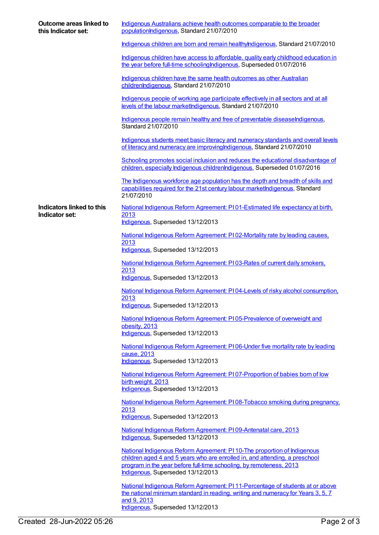| Outcome areas linked to<br>this Indicator set: | Indigenous Australians achieve health outcomes comparable to the broader<br>populationIndigenous, Standard 21/07/2010                                                                                                                                               |
|------------------------------------------------|---------------------------------------------------------------------------------------------------------------------------------------------------------------------------------------------------------------------------------------------------------------------|
|                                                | Indigenous children are born and remain healthylndigenous, Standard 21/07/2010                                                                                                                                                                                      |
|                                                | Indigenous children have access to affordable, quality early childhood education in<br>the year before full-time schooling Indigenous, Superseded 01/07/2016                                                                                                        |
|                                                | Indigenous children have the same health outcomes as other Australian<br>childrenIndigenous, Standard 21/07/2010                                                                                                                                                    |
|                                                | Indigenous people of working age participate effectively in all sectors and at all<br>levels of the labour marketIndigenous, Standard 21/07/2010                                                                                                                    |
|                                                | Indigenous people remain healthy and free of preventable diseaseIndigenous,<br>Standard 21/07/2010                                                                                                                                                                  |
|                                                | Indigenous students meet basic literacy and numeracy standards and overall levels<br>of literacy and numeracy are improving Indigenous, Standard 21/07/2010                                                                                                         |
|                                                | Schooling promotes social inclusion and reduces the educational disadvantage of<br>children, especially Indigenous childrenIndigenous, Superseded 01/07/2016                                                                                                        |
|                                                | The Indigenous workforce age population has the depth and breadth of skills and<br>capabilities required for the 21st century labour marketIndigenous, Standard<br>21/07/2010                                                                                       |
| Indicators linked to this                      | National Indigenous Reform Agreement: PI01-Estimated life expectancy at birth.                                                                                                                                                                                      |
| Indicator set:                                 | 2013<br>Indigenous, Superseded 13/12/2013                                                                                                                                                                                                                           |
|                                                | National Indigenous Reform Agreement: PI 02-Mortality rate by leading causes.                                                                                                                                                                                       |
|                                                | 2013<br>Indigenous, Superseded 13/12/2013                                                                                                                                                                                                                           |
|                                                | National Indigenous Reform Agreement: P103-Rates of current daily smokers,<br>2013<br>Indigenous, Superseded 13/12/2013                                                                                                                                             |
|                                                | National Indigenous Reform Agreement: PI04-Levels of risky alcohol consumption,                                                                                                                                                                                     |
|                                                | 2013<br>Indigenous, Superseded 13/12/2013                                                                                                                                                                                                                           |
|                                                | National Indigenous Reform Agreement: PI05-Prevalence of overweight and<br>obesity, 2013                                                                                                                                                                            |
|                                                | Indigenous, Superseded 13/12/2013                                                                                                                                                                                                                                   |
|                                                | National Indigenous Reform Agreement: PI06-Under five mortality rate by leading<br>cause, 2013<br>Indigenous, Superseded 13/12/2013                                                                                                                                 |
|                                                | National Indigenous Reform Agreement: PI07-Proportion of babies born of low                                                                                                                                                                                         |
|                                                | birth weight, 2013<br>Indigenous, Superseded 13/12/2013                                                                                                                                                                                                             |
|                                                | National Indigenous Reform Agreement: PI08-Tobacco smoking during pregnancy,<br>2013                                                                                                                                                                                |
|                                                | Indigenous, Superseded 13/12/2013                                                                                                                                                                                                                                   |
|                                                | National Indigenous Reform Agreement: PI09-Antenatal care, 2013<br>Indigenous, Superseded 13/12/2013                                                                                                                                                                |
|                                                | National Indigenous Reform Agreement: PI 10-The proportion of Indigenous<br>children aged 4 and 5 years who are enrolled in, and attending, a preschool<br>program in the year before full-time schooling, by remoteness, 2013<br>Indigenous, Superseded 13/12/2013 |
|                                                | National Indigenous Reform Agreement: PI 11-Percentage of students at or above<br>the national minimum standard in reading, writing and numeracy for Years 3, 5, 7<br>and 9, 2013                                                                                   |
|                                                | Indigenous, Superseded 13/12/2013                                                                                                                                                                                                                                   |